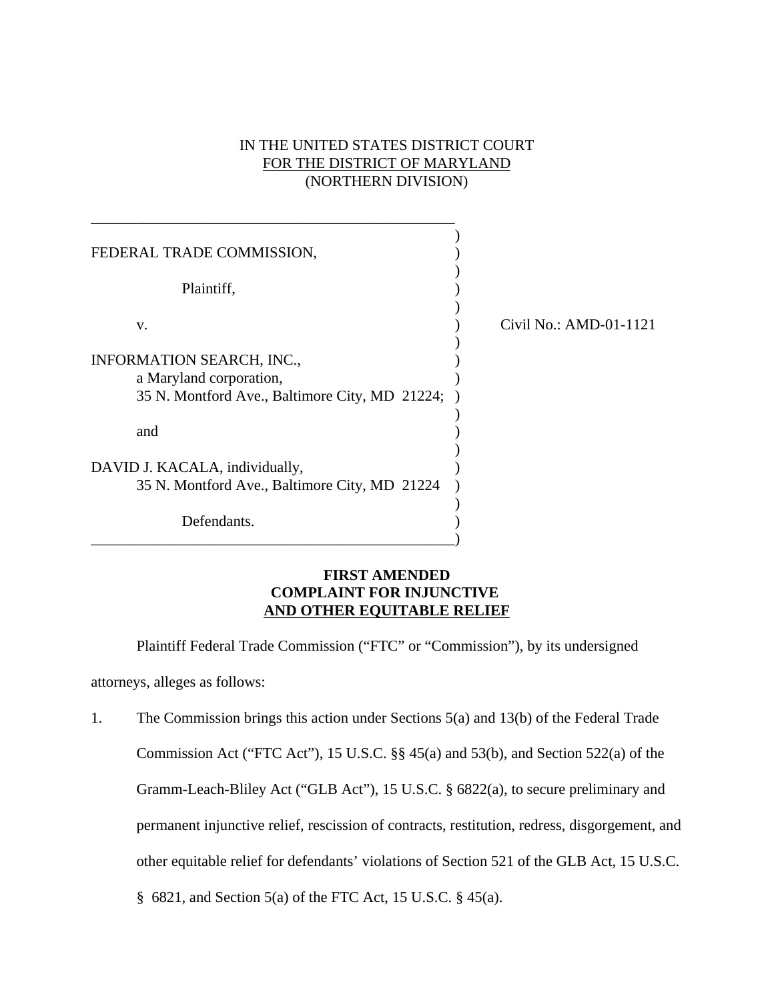# IN THE UNITED STATES DISTRICT COURT FOR THE DISTRICT OF MARYLAND (NORTHERN DIVISION)

| FEDERAL TRADE COMMISSION,                      |                        |
|------------------------------------------------|------------------------|
| Plaintiff,                                     |                        |
| V.                                             | Civil No.: AMD-01-1121 |
| INFORMATION SEARCH, INC.,                      |                        |
| a Maryland corporation,                        |                        |
| 35 N. Montford Ave., Baltimore City, MD 21224; |                        |
|                                                |                        |
| and                                            |                        |
|                                                |                        |
| DAVID J. KACALA, individually,                 |                        |
| 35 N. Montford Ave., Baltimore City, MD 21224  |                        |
|                                                |                        |
| Defendants.                                    |                        |
|                                                |                        |

# **FIRST AMENDED COMPLAINT FOR INJUNCTIVE AND OTHER EQUITABLE RELIEF**

Plaintiff Federal Trade Commission ("FTC" or "Commission"), by its undersigned attorneys, alleges as follows:

1. The Commission brings this action under Sections 5(a) and 13(b) of the Federal Trade Commission Act ("FTC Act"), 15 U.S.C. §§ 45(a) and 53(b), and Section 522(a) of the Gramm-Leach-Bliley Act ("GLB Act"), 15 U.S.C. § 6822(a), to secure preliminary and permanent injunctive relief, rescission of contracts, restitution, redress, disgorgement, and other equitable relief for defendants' violations of Section 521 of the GLB Act, 15 U.S.C. § 6821, and Section 5(a) of the FTC Act, 15 U.S.C. § 45(a).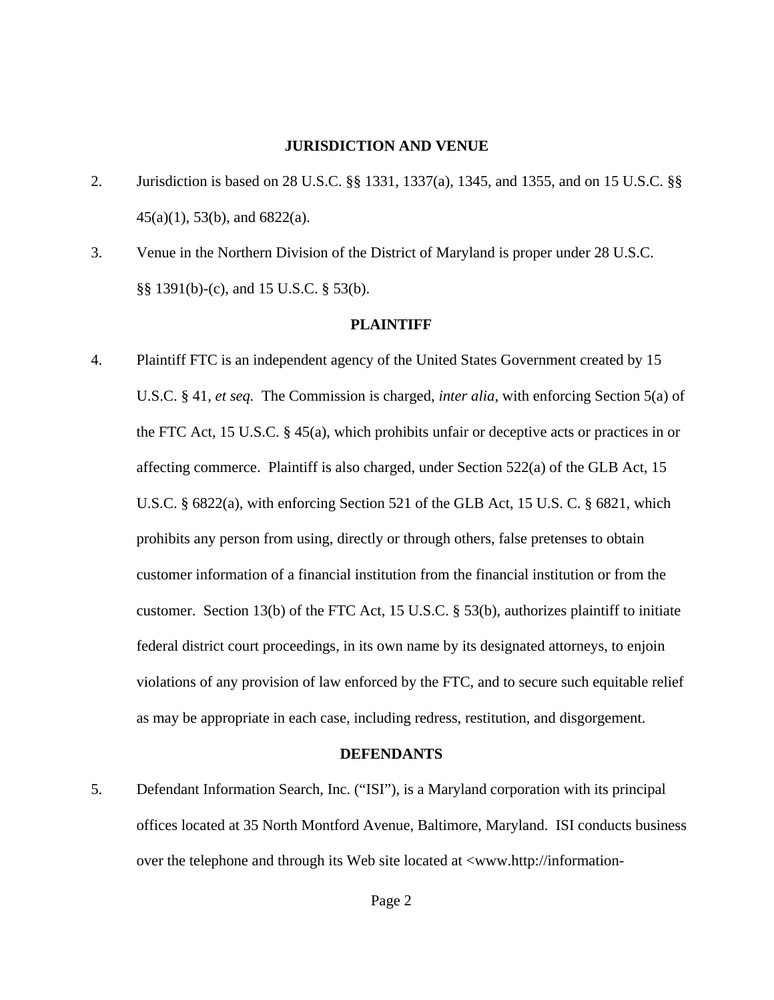### **JURISDICTION AND VENUE**

- 2. Jurisdiction is based on 28 U.S.C. §§ 1331, 1337(a), 1345, and 1355, and on 15 U.S.C. §§ 45(a)(1), 53(b), and 6822(a).
- 3. Venue in the Northern Division of the District of Maryland is proper under 28 U.S.C. §§ 1391(b)-(c), and 15 U.S.C. § 53(b).

#### **PLAINTIFF**

4. Plaintiff FTC is an independent agency of the United States Government created by 15 U.S.C. § 41, *et seq.* The Commission is charged, *inter alia*, with enforcing Section 5(a) of the FTC Act, 15 U.S.C. § 45(a), which prohibits unfair or deceptive acts or practices in or affecting commerce. Plaintiff is also charged, under Section 522(a) of the GLB Act, 15 U.S.C. § 6822(a), with enforcing Section 521 of the GLB Act, 15 U.S. C. § 6821, which prohibits any person from using, directly or through others, false pretenses to obtain customer information of a financial institution from the financial institution or from the customer. Section 13(b) of the FTC Act, 15 U.S.C. § 53(b), authorizes plaintiff to initiate federal district court proceedings, in its own name by its designated attorneys, to enjoin violations of any provision of law enforced by the FTC, and to secure such equitable relief as may be appropriate in each case, including redress, restitution, and disgorgement.

#### **DEFENDANTS**

5. Defendant Information Search, Inc. ("ISI"), is a Maryland corporation with its principal offices located at 35 North Montford Avenue, Baltimore, Maryland. ISI conducts business over the telephone and through its Web site located at <www.http://information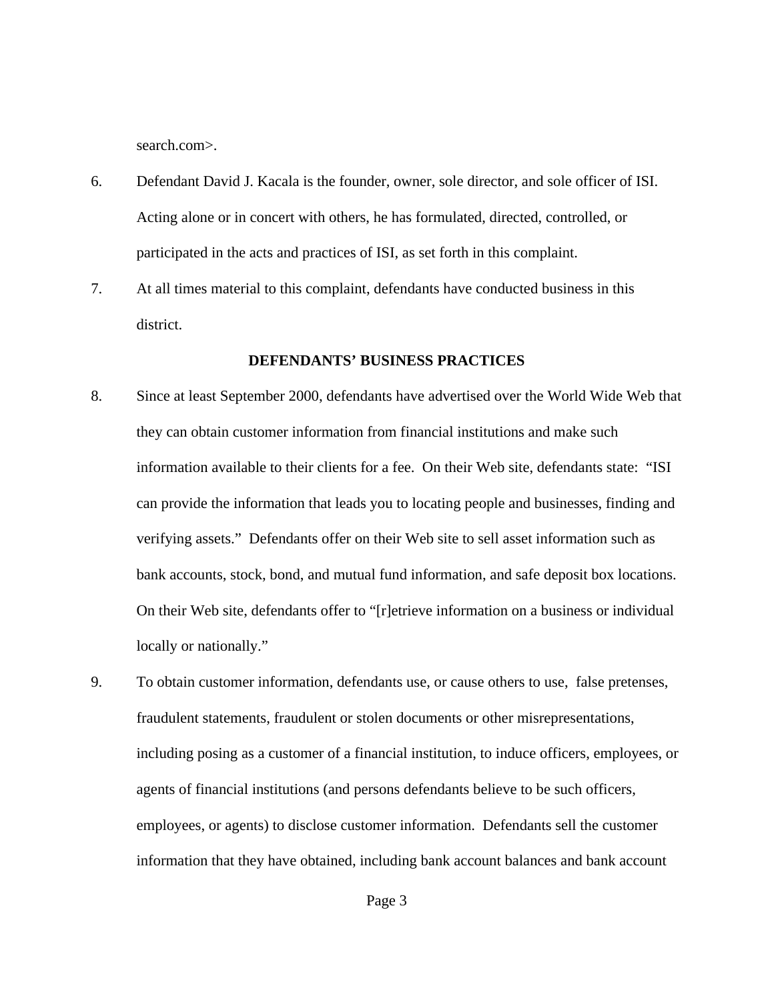search.com>.

- 6. Defendant David J. Kacala is the founder, owner, sole director, and sole officer of ISI. Acting alone or in concert with others, he has formulated, directed, controlled, or participated in the acts and practices of ISI, as set forth in this complaint.
- 7. At all times material to this complaint, defendants have conducted business in this district.

### **DEFENDANTS' BUSINESS PRACTICES**

- 8. Since at least September 2000, defendants have advertised over the World Wide Web that they can obtain customer information from financial institutions and make such information available to their clients for a fee. On their Web site, defendants state: "ISI can provide the information that leads you to locating people and businesses, finding and verifying assets." Defendants offer on their Web site to sell asset information such as bank accounts, stock, bond, and mutual fund information, and safe deposit box locations. On their Web site, defendants offer to "[r]etrieve information on a business or individual locally or nationally."
- 9. To obtain customer information, defendants use, or cause others to use, false pretenses, fraudulent statements, fraudulent or stolen documents or other misrepresentations, including posing as a customer of a financial institution, to induce officers, employees, or agents of financial institutions (and persons defendants believe to be such officers, employees, or agents) to disclose customer information. Defendants sell the customer information that they have obtained, including bank account balances and bank account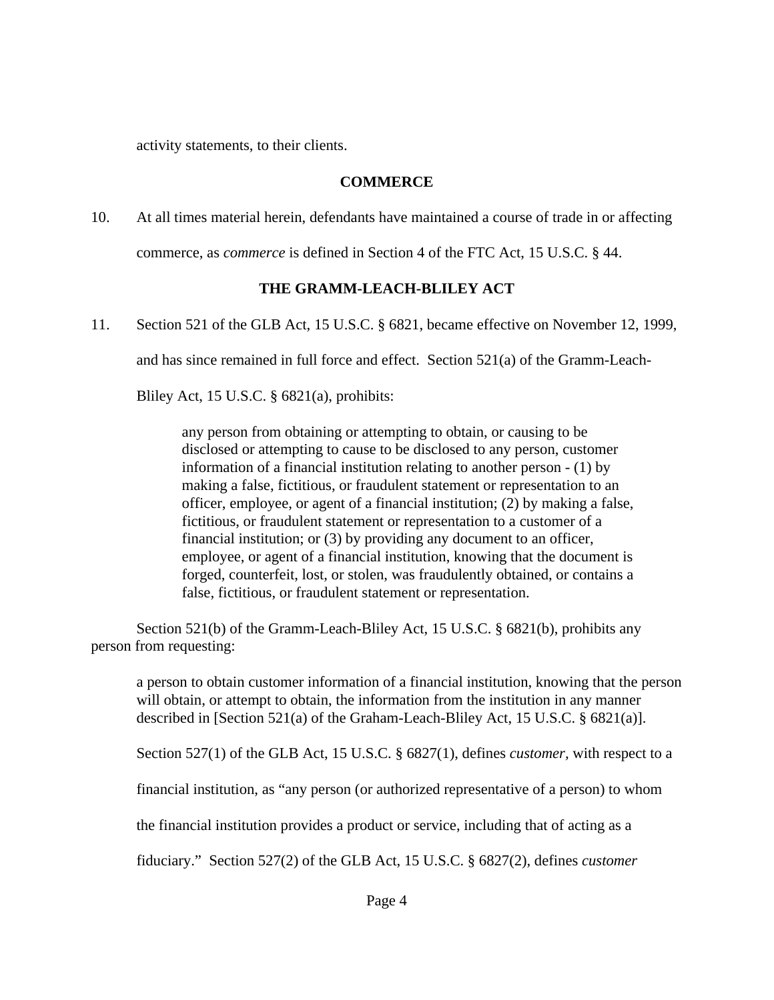activity statements, to their clients.

# **COMMERCE**

10. At all times material herein, defendants have maintained a course of trade in or affecting commerce, as *commerce* is defined in Section 4 of the FTC Act, 15 U.S.C. § 44.

# **THE GRAMM-LEACH-BLILEY ACT**

11. Section 521 of the GLB Act, 15 U.S.C. § 6821, became effective on November 12, 1999,

and has since remained in full force and effect. Section 521(a) of the Gramm-Leach-

Bliley Act, 15 U.S.C. § 6821(a), prohibits:

any person from obtaining or attempting to obtain, or causing to be disclosed or attempting to cause to be disclosed to any person, customer information of a financial institution relating to another person - (1) by making a false, fictitious, or fraudulent statement or representation to an officer, employee, or agent of a financial institution; (2) by making a false, fictitious, or fraudulent statement or representation to a customer of a financial institution; or (3) by providing any document to an officer, employee, or agent of a financial institution, knowing that the document is forged, counterfeit, lost, or stolen, was fraudulently obtained, or contains a false, fictitious, or fraudulent statement or representation.

Section 521(b) of the Gramm-Leach-Bliley Act, 15 U.S.C. § 6821(b), prohibits any person from requesting:

a person to obtain customer information of a financial institution, knowing that the person will obtain, or attempt to obtain, the information from the institution in any manner described in [Section 521(a) of the Graham-Leach-Bliley Act, 15 U.S.C. § 6821(a)].

Section 527(1) of the GLB Act, 15 U.S.C. § 6827(1), defines *customer,* with respect to a

financial institution, as "any person (or authorized representative of a person) to whom

the financial institution provides a product or service, including that of acting as a

fiduciary." Section 527(2) of the GLB Act, 15 U.S.C. § 6827(2), defines *customer*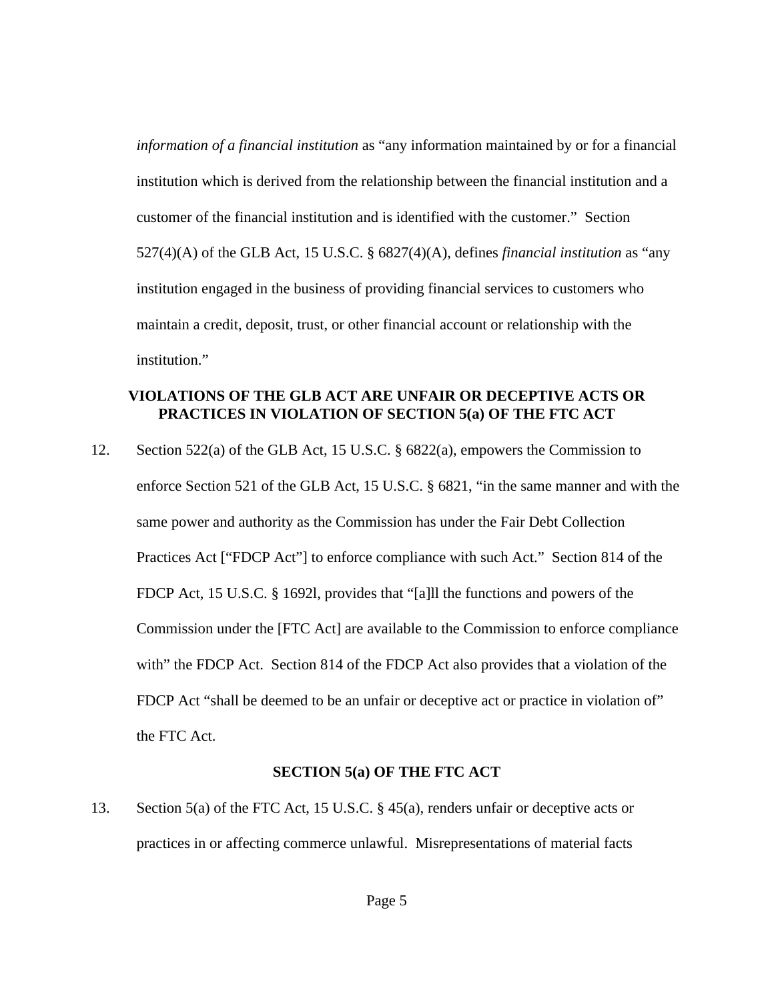*information of a financial institution* as "any information maintained by or for a financial institution which is derived from the relationship between the financial institution and a customer of the financial institution and is identified with the customer." Section 527(4)(A) of the GLB Act, 15 U.S.C. § 6827(4)(A), defines *financial institution* as "any institution engaged in the business of providing financial services to customers who maintain a credit, deposit, trust, or other financial account or relationship with the institution."

# **VIOLATIONS OF THE GLB ACT ARE UNFAIR OR DECEPTIVE ACTS OR PRACTICES IN VIOLATION OF SECTION 5(a) OF THE FTC ACT**

12. Section 522(a) of the GLB Act, 15 U.S.C. § 6822(a), empowers the Commission to enforce Section 521 of the GLB Act, 15 U.S.C. § 6821, "in the same manner and with the same power and authority as the Commission has under the Fair Debt Collection Practices Act ["FDCP Act"] to enforce compliance with such Act." Section 814 of the FDCP Act, 15 U.S.C. § 1692l, provides that "[a]ll the functions and powers of the Commission under the [FTC Act] are available to the Commission to enforce compliance with" the FDCP Act. Section 814 of the FDCP Act also provides that a violation of the FDCP Act "shall be deemed to be an unfair or deceptive act or practice in violation of" the FTC Act.

### **SECTION 5(a) OF THE FTC ACT**

13. Section 5(a) of the FTC Act, 15 U.S.C. § 45(a), renders unfair or deceptive acts or practices in or affecting commerce unlawful. Misrepresentations of material facts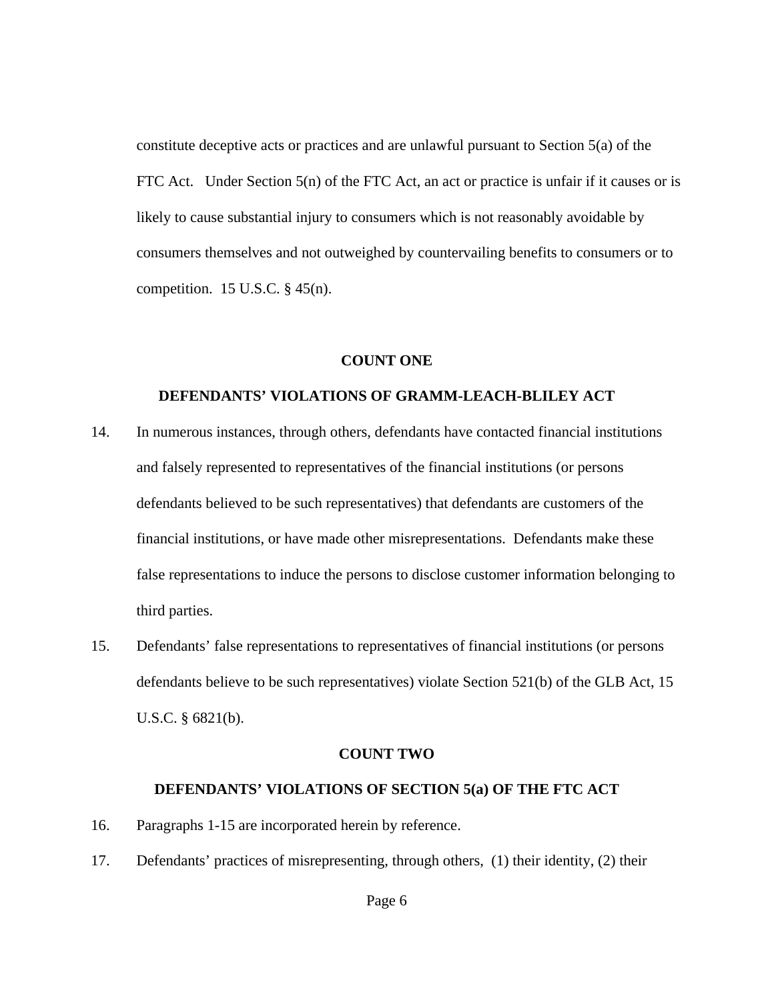constitute deceptive acts or practices and are unlawful pursuant to Section 5(a) of the FTC Act. Under Section 5(n) of the FTC Act, an act or practice is unfair if it causes or is likely to cause substantial injury to consumers which is not reasonably avoidable by consumers themselves and not outweighed by countervailing benefits to consumers or to competition.  $15$  U.S.C.  $\S$  45(n).

### **COUNT ONE**

### **DEFENDANTS' VIOLATIONS OF GRAMM-LEACH-BLILEY ACT**

- 14. In numerous instances, through others, defendants have contacted financial institutions and falsely represented to representatives of the financial institutions (or persons defendants believed to be such representatives) that defendants are customers of the financial institutions, or have made other misrepresentations. Defendants make these false representations to induce the persons to disclose customer information belonging to third parties.
- 15. Defendants' false representations to representatives of financial institutions (or persons defendants believe to be such representatives) violate Section 521(b) of the GLB Act, 15 U.S.C. § 6821(b).

#### **COUNT TWO**

#### **DEFENDANTS' VIOLATIONS OF SECTION 5(a) OF THE FTC ACT**

- 16. Paragraphs 1-15 are incorporated herein by reference.
- 17. Defendants' practices of misrepresenting, through others, (1) their identity, (2) their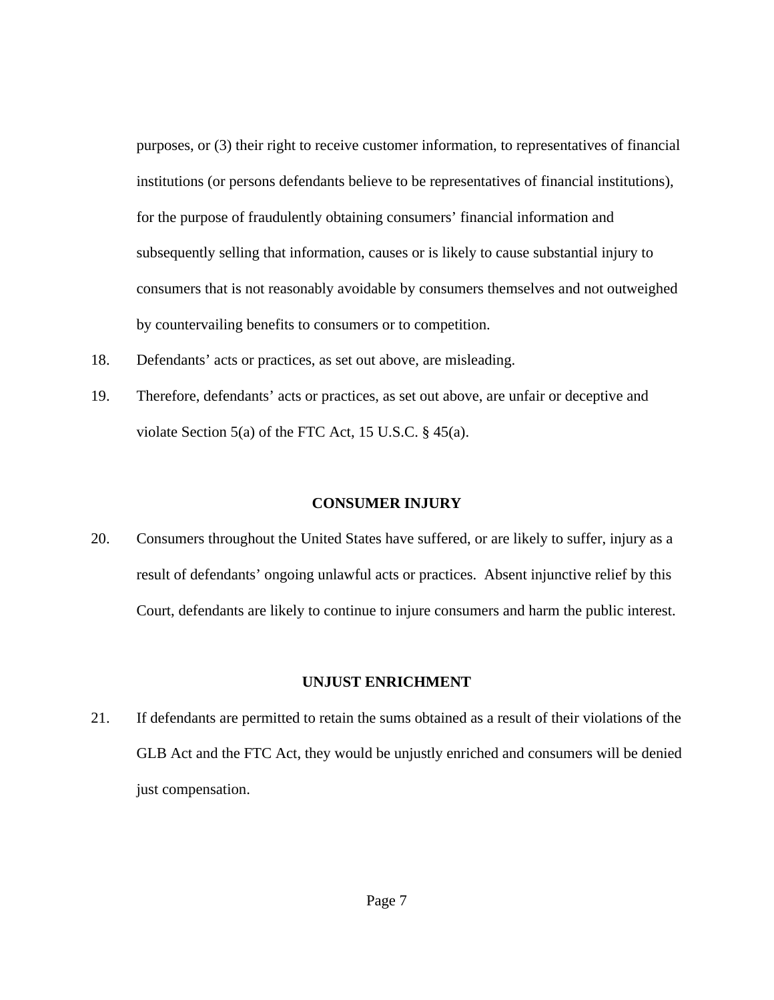purposes, or (3) their right to receive customer information, to representatives of financial institutions (or persons defendants believe to be representatives of financial institutions), for the purpose of fraudulently obtaining consumers' financial information and subsequently selling that information, causes or is likely to cause substantial injury to consumers that is not reasonably avoidable by consumers themselves and not outweighed by countervailing benefits to consumers or to competition.

- 18. Defendants' acts or practices, as set out above, are misleading.
- 19. Therefore, defendants' acts or practices, as set out above, are unfair or deceptive and violate Section 5(a) of the FTC Act, 15 U.S.C. § 45(a).

### **CONSUMER INJURY**

20. Consumers throughout the United States have suffered, or are likely to suffer, injury as a result of defendants' ongoing unlawful acts or practices. Absent injunctive relief by this Court, defendants are likely to continue to injure consumers and harm the public interest.

### **UNJUST ENRICHMENT**

21. If defendants are permitted to retain the sums obtained as a result of their violations of the GLB Act and the FTC Act, they would be unjustly enriched and consumers will be denied just compensation.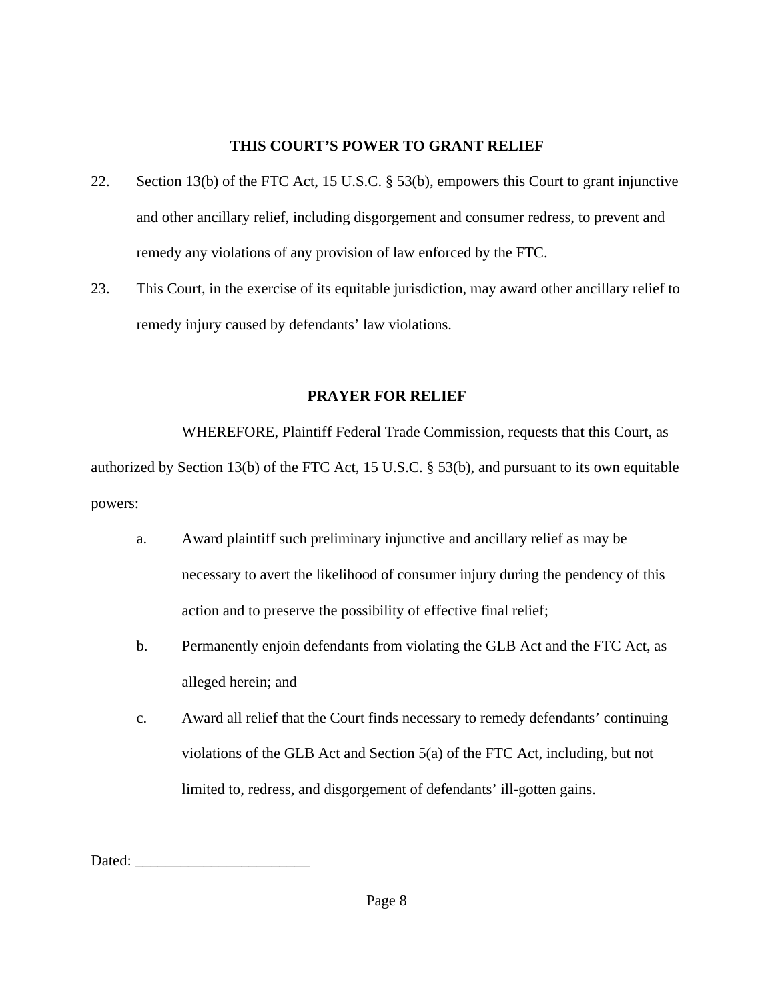# **THIS COURT'S POWER TO GRANT RELIEF**

- 22. Section 13(b) of the FTC Act, 15 U.S.C. § 53(b), empowers this Court to grant injunctive and other ancillary relief, including disgorgement and consumer redress, to prevent and remedy any violations of any provision of law enforced by the FTC.
- 23. This Court, in the exercise of its equitable jurisdiction, may award other ancillary relief to remedy injury caused by defendants' law violations.

# **PRAYER FOR RELIEF**

WHEREFORE, Plaintiff Federal Trade Commission, requests that this Court, as authorized by Section 13(b) of the FTC Act, 15 U.S.C. § 53(b), and pursuant to its own equitable powers:

- a. Award plaintiff such preliminary injunctive and ancillary relief as may be necessary to avert the likelihood of consumer injury during the pendency of this action and to preserve the possibility of effective final relief;
- b. Permanently enjoin defendants from violating the GLB Act and the FTC Act, as alleged herein; and
- c. Award all relief that the Court finds necessary to remedy defendants' continuing violations of the GLB Act and Section 5(a) of the FTC Act, including, but not limited to, redress, and disgorgement of defendants' ill-gotten gains.

Dated: